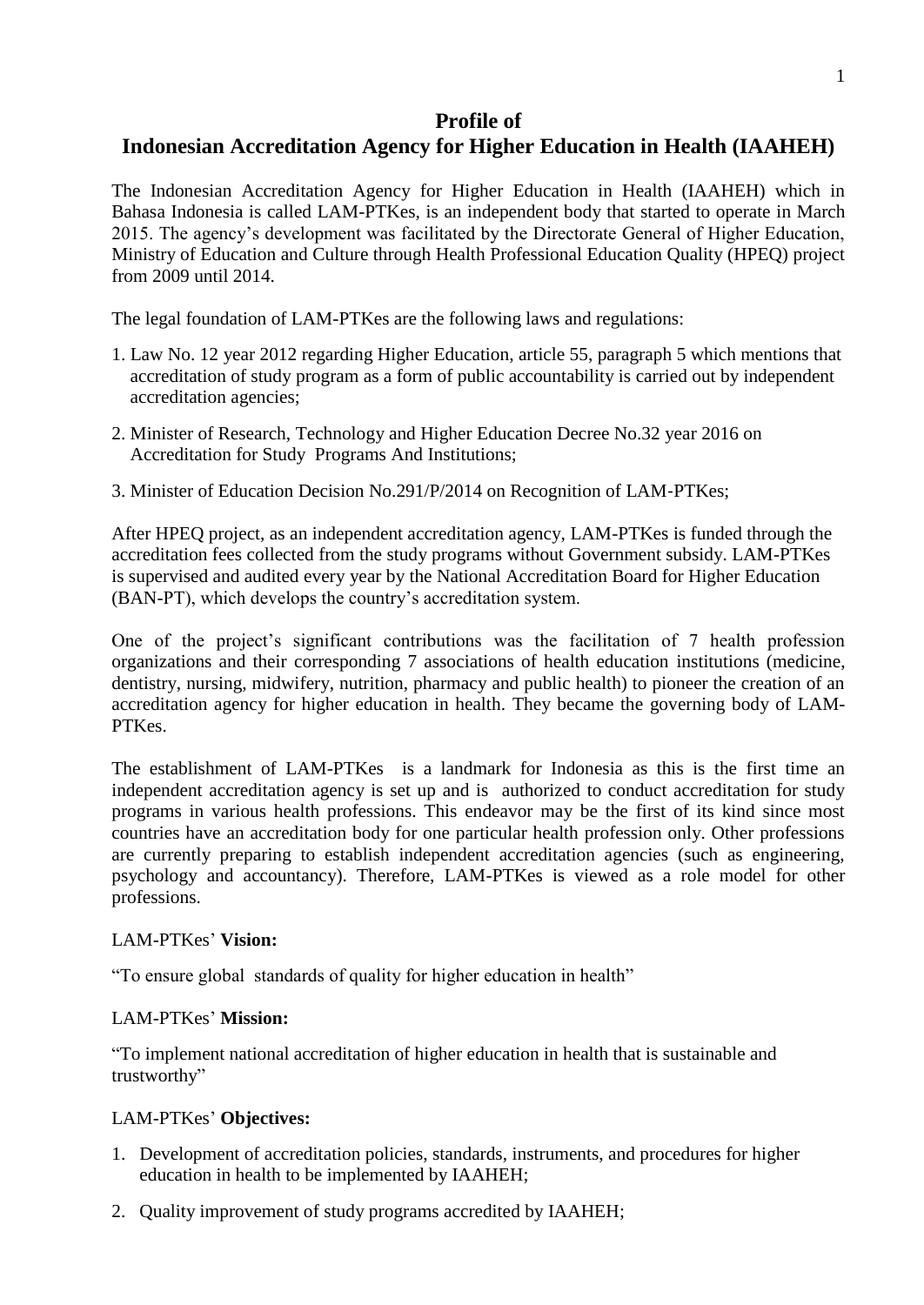# **Profile of**

# **Indonesian Accreditation Agency for Higher Education in Health (IAAHEH)**

The Indonesian Accreditation Agency for Higher Education in Health (IAAHEH) which in Bahasa Indonesia is called LAM-PTKes, is an independent body that started to operate in March 2015. The agency's development was facilitated by the Directorate General of Higher Education, Ministry of Education and Culture through Health Professional Education Quality (HPEQ) project from 2009 until 2014.

The legal foundation of LAM-PTKes are the following laws and regulations:

- 1. Law No. 12 year 2012 regarding Higher Education, article 55, paragraph 5 which mentions that accreditation of study program as a form of public accountability is carried out by independent accreditation agencies;
- 2. Minister of Research, Technology and Higher Education Decree No.32 year 2016 on Accreditation for Study Programs And Institutions;
- 3. Minister of Education Decision No.291/P/2014 on Recognition of LAM‐PTKes;

After HPEQ project, as an independent accreditation agency, LAM-PTKes is funded through the accreditation fees collected from the study programs without Government subsidy. LAM-PTKes is supervised and audited every year by the National Accreditation Board for Higher Education (BAN-PT), which develops the country's accreditation system.

One of the project's significant contributions was the facilitation of 7 health profession organizations and their corresponding 7 associations of health education institutions (medicine, dentistry, nursing, midwifery, nutrition, pharmacy and public health) to pioneer the creation of an accreditation agency for higher education in health. They became the governing body of LAM-PTKes.

The establishment of LAM-PTKes is a landmark for Indonesia as this is the first time an independent accreditation agency is set up and is authorized to conduct accreditation for study programs in various health professions. This endeavor may be the first of its kind since most countries have an accreditation body for one particular health profession only. Other professions are currently preparing to establish independent accreditation agencies (such as engineering, psychology and accountancy). Therefore, LAM-PTKes is viewed as a role model for other professions.

### LAM-PTKes' **Vision:**

"To ensure global standards of quality for higher education in health"

### LAM-PTKes' **Mission:**

"To implement national accreditation of higher education in health that is sustainable and trustworthy"

### LAM-PTKes' **Objectives:**

- 1. Development of accreditation policies, standards, instruments, and procedures for higher education in health to be implemented by IAAHEH;
- 2. Quality improvement of study programs accredited by IAAHEH;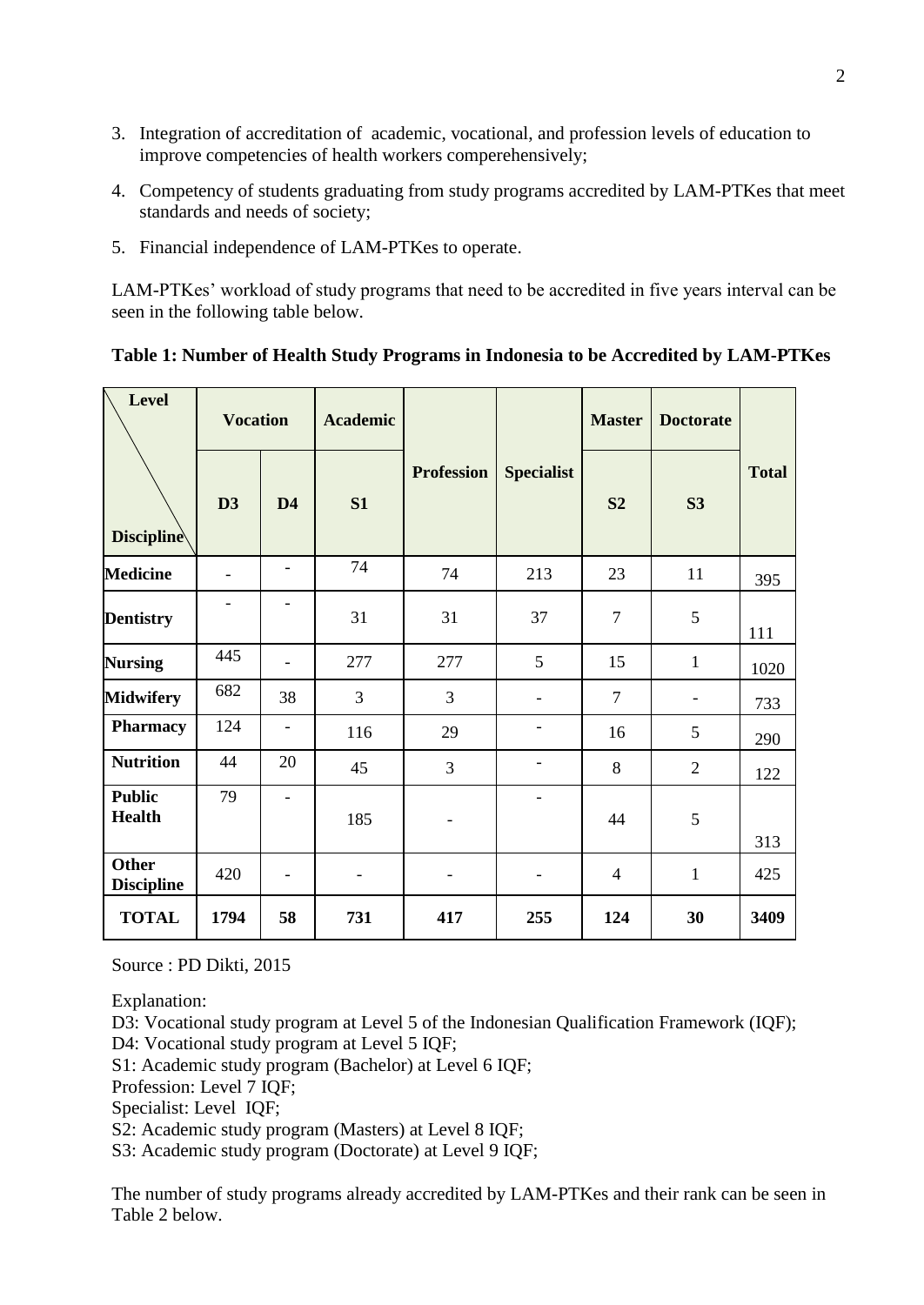- 3. Integration of accreditation of academic, vocational, and profession levels of education to improve competencies of health workers comperehensively;
- 4. Competency of students graduating from study programs accredited by LAM-PTKes that meet standards and needs of society;
- 5. Financial independence of LAM-PTKes to operate.

LAM-PTKes' workload of study programs that need to be accredited in five years interval can be seen in the following table below.

| <b>Level</b>                      | <b>Vocation</b>          |                          | <b>Academic</b>          |                   |                          | <b>Master</b>  | <b>Doctorate</b> |              |
|-----------------------------------|--------------------------|--------------------------|--------------------------|-------------------|--------------------------|----------------|------------------|--------------|
| <b>Discipline</b>                 | D <sub>3</sub>           | D <sub>4</sub>           | S1                       | <b>Profession</b> | <b>Specialist</b>        | S <sub>2</sub> | S3               | <b>Total</b> |
| <b>Medicine</b>                   | $\overline{\phantom{0}}$ | $\overline{\phantom{a}}$ | 74                       | 74                | 213                      | 23             | 11               | 395          |
| <b>Dentistry</b>                  |                          |                          | 31                       | 31                | 37                       | $\overline{7}$ | 5                | 111          |
| <b>Nursing</b>                    | 445                      |                          | 277                      | 277               | 5                        | 15             | $\mathbf{1}$     | 1020         |
| <b>Midwifery</b>                  | 682                      | 38                       | 3                        | 3                 |                          | $\overline{7}$ |                  | 733          |
| Pharmacy                          | 124                      | $\overline{\phantom{0}}$ | 116                      | 29                |                          | 16             | 5                | 290          |
| <b>Nutrition</b>                  | 44                       | 20                       | 45                       | 3                 | ۰                        | 8              | $\overline{2}$   | 122          |
| <b>Public</b><br><b>Health</b>    | 79                       |                          | 185                      |                   | $\overline{\phantom{a}}$ | 44             | 5                | 313          |
| <b>Other</b><br><b>Discipline</b> | 420                      |                          | $\overline{\phantom{0}}$ |                   | $\overline{\phantom{a}}$ | $\overline{4}$ | $\mathbf{1}$     | 425          |
| <b>TOTAL</b>                      | 1794                     | 58                       | 731                      | 417               | 255                      | 124            | 30               | 3409         |

| Table 1: Number of Health Study Programs in Indonesia to be Accredited by LAM-PTKes |  |  |
|-------------------------------------------------------------------------------------|--|--|
|                                                                                     |  |  |

Source : PD Dikti, 2015

Explanation:

D3: Vocational study program at Level 5 of the Indonesian Qualification Framework (IQF); D4: Vocational study program at Level 5 IQF;

S1: Academic study program (Bachelor) at Level 6 IQF;

Profession: Level 7 IQF;

Specialist: Level IQF;

S2: Academic study program (Masters) at Level 8 IQF;

S3: Academic study program (Doctorate) at Level 9 IQF;

The number of study programs already accredited by LAM-PTKes and their rank can be seen in Table 2 below.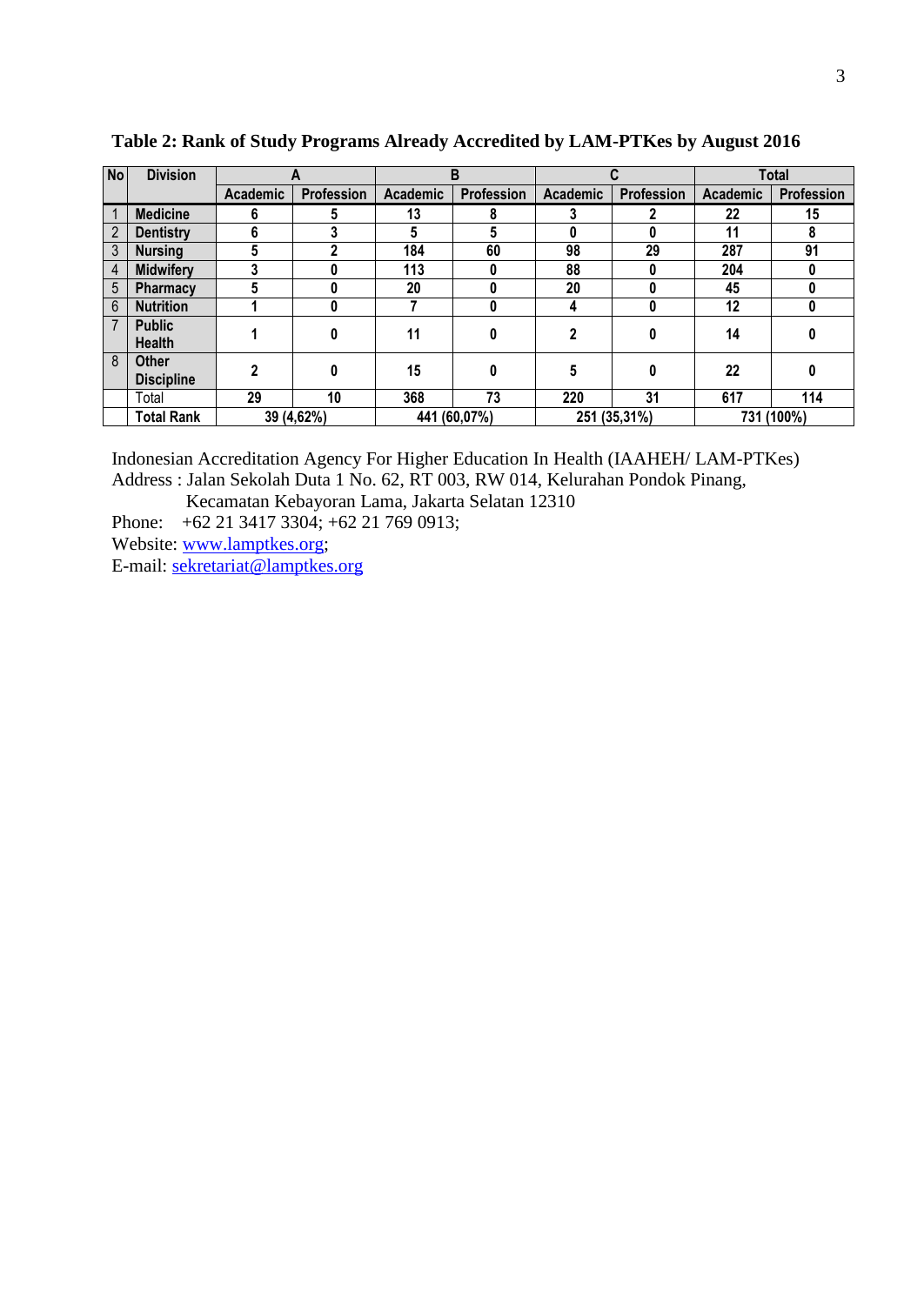| No             | <b>Division</b>                   | r               |            | B               |              |          |                   | <b>Total</b>    |                   |
|----------------|-----------------------------------|-----------------|------------|-----------------|--------------|----------|-------------------|-----------------|-------------------|
|                |                                   | <b>Academic</b> | Profession | <b>Academic</b> | Profession   | Academic | <b>Profession</b> | <b>Academic</b> | <b>Profession</b> |
|                | <b>Medicine</b>                   | 6               | 5          | 13              | 8            |          |                   | 22              | 15                |
| $\overline{2}$ | <b>Dentistry</b>                  | 6               | 3          | 5               | 5            | 0        | 0                 | 11              | 8                 |
| $\mathfrak{Z}$ | <b>Nursing</b>                    | 5               |            | 184             | 60           | 98       | 29                | 287             | 91                |
| 4              | <b>Midwifery</b>                  |                 | 0          | 113             | 0            | 88       | 0                 | 204             |                   |
| 5              | Pharmacy                          |                 |            | 20              |              | 20       |                   | 45              |                   |
| $6\phantom{1}$ | <b>Nutrition</b>                  |                 | 0          |                 | 0            | 4        | 0                 | 12              |                   |
| $\overline{7}$ | <b>Public</b><br><b>Health</b>    |                 | 0          | 11              | 0            |          | 0                 | 14              |                   |
| 8              | <b>Other</b><br><b>Discipline</b> | 2               | 0          | 15              | 0            | 5        | 0                 | 22              |                   |
|                | Total                             | 29              | 10         | 368             | 73           | 220      | 31                | 617             | 114               |
|                | Total Rank                        | 39 (4,62%)      |            |                 | 441 (60,07%) |          | 251 (35,31%)      |                 | 731 (100%)        |

**Table 2: Rank of Study Programs Already Accredited by LAM-PTKes by August 2016**

Indonesian Accreditation Agency For Higher Education In Health (IAAHEH/ LAM-PTKes) Address : Jalan Sekolah Duta 1 No. 62, RT 003, RW 014, Kelurahan Pondok Pinang,

Kecamatan Kebayoran Lama, Jakarta Selatan 12310

Phone: +62 21 3417 3304; +62 21 769 0913;

Website: [www.lamptkes.org;](http://www.lamptkes.org/)

E-mail: [sekretariat@lamptkes.org](mailto:sekretariat@lamptkes.org)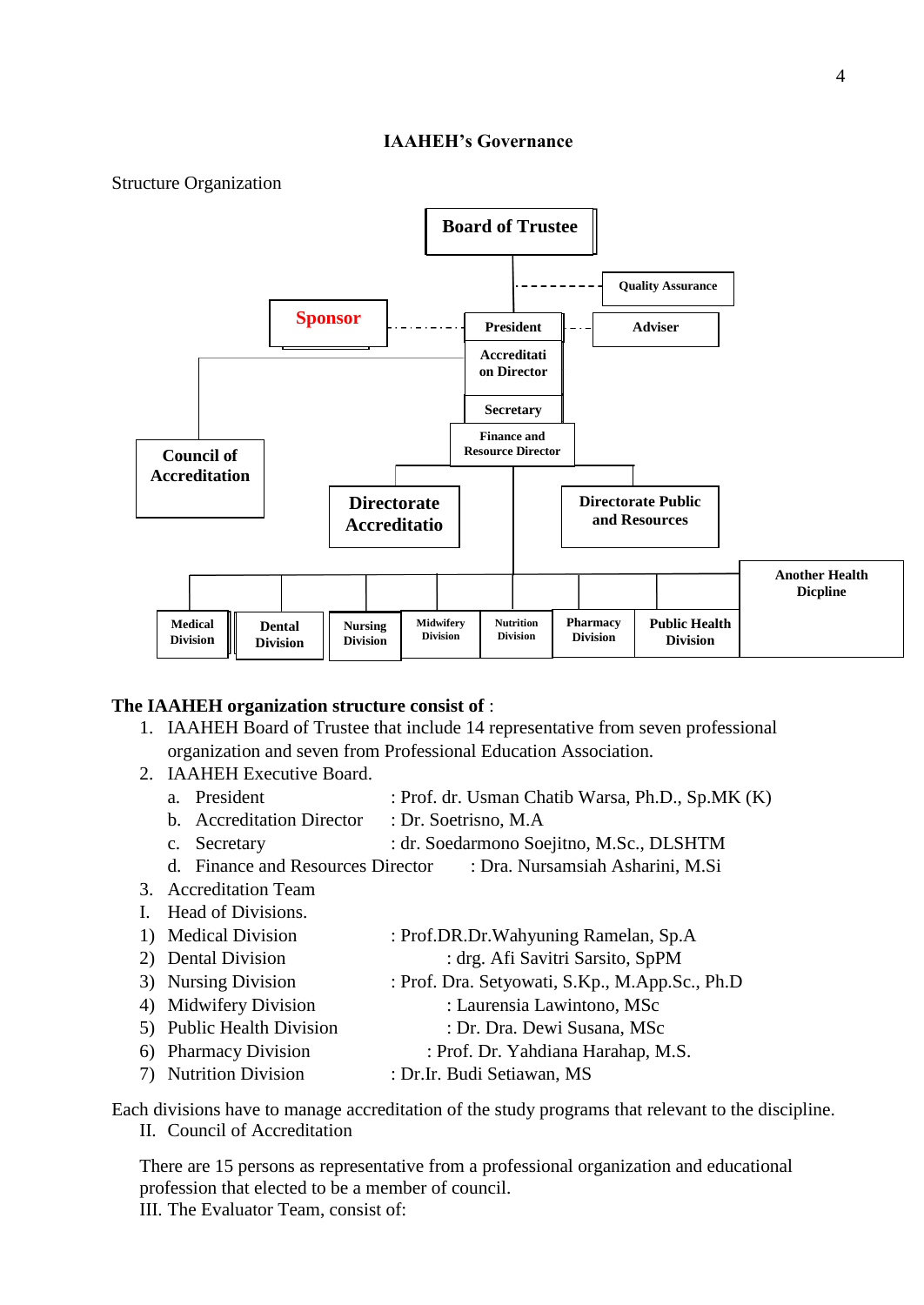#### **IAAHEH's Governance**

Structure Organization



#### **The IAAHEH organization structure consist of** :

- 1. IAAHEH Board of Trustee that include 14 representative from seven professional organization and seven from Professional Education Association.
- 2. IAAHEH Executive Board.
	- a. President : Prof. dr. Usman Chatib Warsa, Ph.D., Sp.MK (K)
	- b. Accreditation Director : Dr. Soetrisno, M.A
	- c. Secretary : dr. Soedarmono Soejitno, M.Sc., DLSHTM
	- d. Finance and Resources Director : Dra. Nursamsiah Asharini, M.Si
- 3. Accreditation Team
- I. Head of Divisions.
- 1) Medical Division : Prof.DR.Dr.Wahyuning Ramelan, Sp.A
- 2) Dental Division : drg. Afi Savitri Sarsito, SpPM
- 3) Nursing Division : Prof. Dra. Setyowati, S.Kp., M.App.Sc., Ph.D
- 4) Midwifery Division : Laurensia Lawintono, MSc
- 5) Public Health Division : Dr. Dra. Dewi Susana, MSc
- 6) Pharmacy Division : Prof. Dr. Yahdiana Harahap, M.S.
- 7) Nutrition Division : Dr.Ir. Budi Setiawan, MS

Each divisions have to manage accreditation of the study programs that relevant to the discipline.

II. Council of Accreditation

There are 15 persons as representative from a professional organization and educational profession that elected to be a member of council. III. The Evaluator Team, consist of: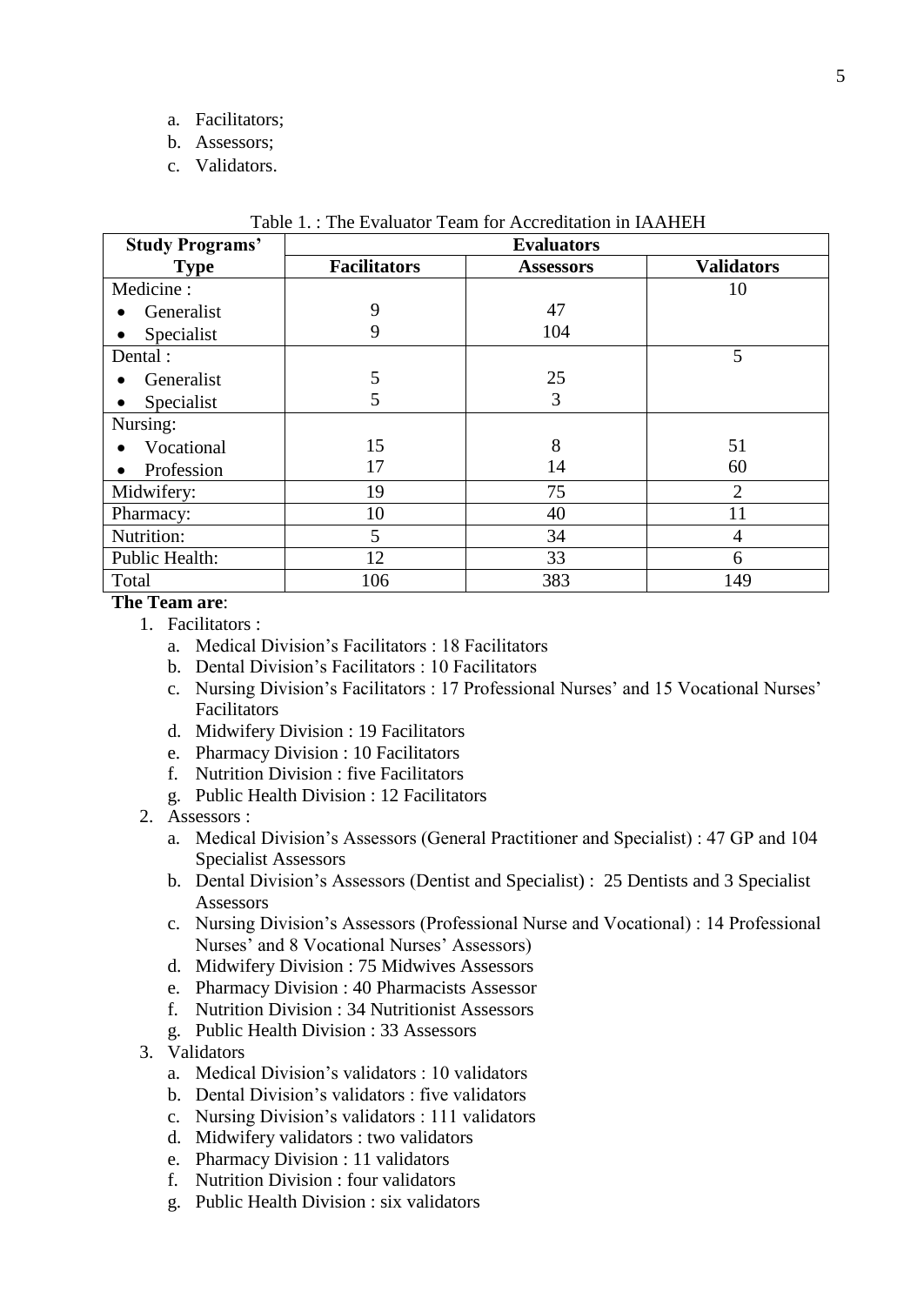- a. Facilitators;
- b. Assessors;
- c. Validators.

| <b>Study Programs'</b> | <b>Evaluators</b>   |                  |                   |  |  |  |
|------------------------|---------------------|------------------|-------------------|--|--|--|
| <b>Type</b>            | <b>Facilitators</b> | <b>Assessors</b> | <b>Validators</b> |  |  |  |
| Medicine:              |                     |                  | 10                |  |  |  |
| Generalist             | 9                   | 47               |                   |  |  |  |
| Specialist             | 9                   | 104              |                   |  |  |  |
| Dental:                |                     |                  | 5                 |  |  |  |
| Generalist             | 5                   | 25               |                   |  |  |  |
| Specialist             | 5                   | 3                |                   |  |  |  |
| Nursing:               |                     |                  |                   |  |  |  |
| Vocational             | 15                  | 8                | 51                |  |  |  |
| Profession             | 17                  | 14               | 60                |  |  |  |
| Midwifery:             | 19                  | 75               | 2                 |  |  |  |
| Pharmacy:              | 10                  | 40               | 11                |  |  |  |
| Nutrition:             | 5                   | 34               | 4                 |  |  |  |
| Public Health:         | 12                  | 33               | 6                 |  |  |  |
| Total                  | 106                 | 383              | 149               |  |  |  |

| Table 1.: The Evaluator Team for Accreditation in IAAHEH |  |  |  |
|----------------------------------------------------------|--|--|--|
|----------------------------------------------------------|--|--|--|

### **The Team are**:

- 1. Facilitators :
	- a. Medical Division's Facilitators : 18 Facilitators
	- b. Dental Division's Facilitators : 10 Facilitators
	- c. Nursing Division's Facilitators : 17 Professional Nurses' and 15 Vocational Nurses' Facilitators
	- d. Midwifery Division : 19 Facilitators
	- e. Pharmacy Division : 10 Facilitators
	- f. Nutrition Division : five Facilitators
	- g. Public Health Division : 12 Facilitators
- 2. Assessors :
	- a. Medical Division's Assessors (General Practitioner and Specialist) : 47 GP and 104 Specialist Assessors
	- b. Dental Division's Assessors (Dentist and Specialist) : 25 Dentists and 3 Specialist Assessors
	- c. Nursing Division's Assessors (Professional Nurse and Vocational) : 14 Professional Nurses' and 8 Vocational Nurses' Assessors)
	- d. Midwifery Division : 75 Midwives Assessors
	- e. Pharmacy Division : 40 Pharmacists Assessor
	- f. Nutrition Division : 34 Nutritionist Assessors
	- g. Public Health Division : 33 Assessors
- 3. Validators
	- a. Medical Division's validators : 10 validators
	- b. Dental Division's validators : five validators
	- c. Nursing Division's validators : 111 validators
	- d. Midwifery validators : two validators
	- e. Pharmacy Division : 11 validators
	- f. Nutrition Division : four validators
	- g. Public Health Division : six validators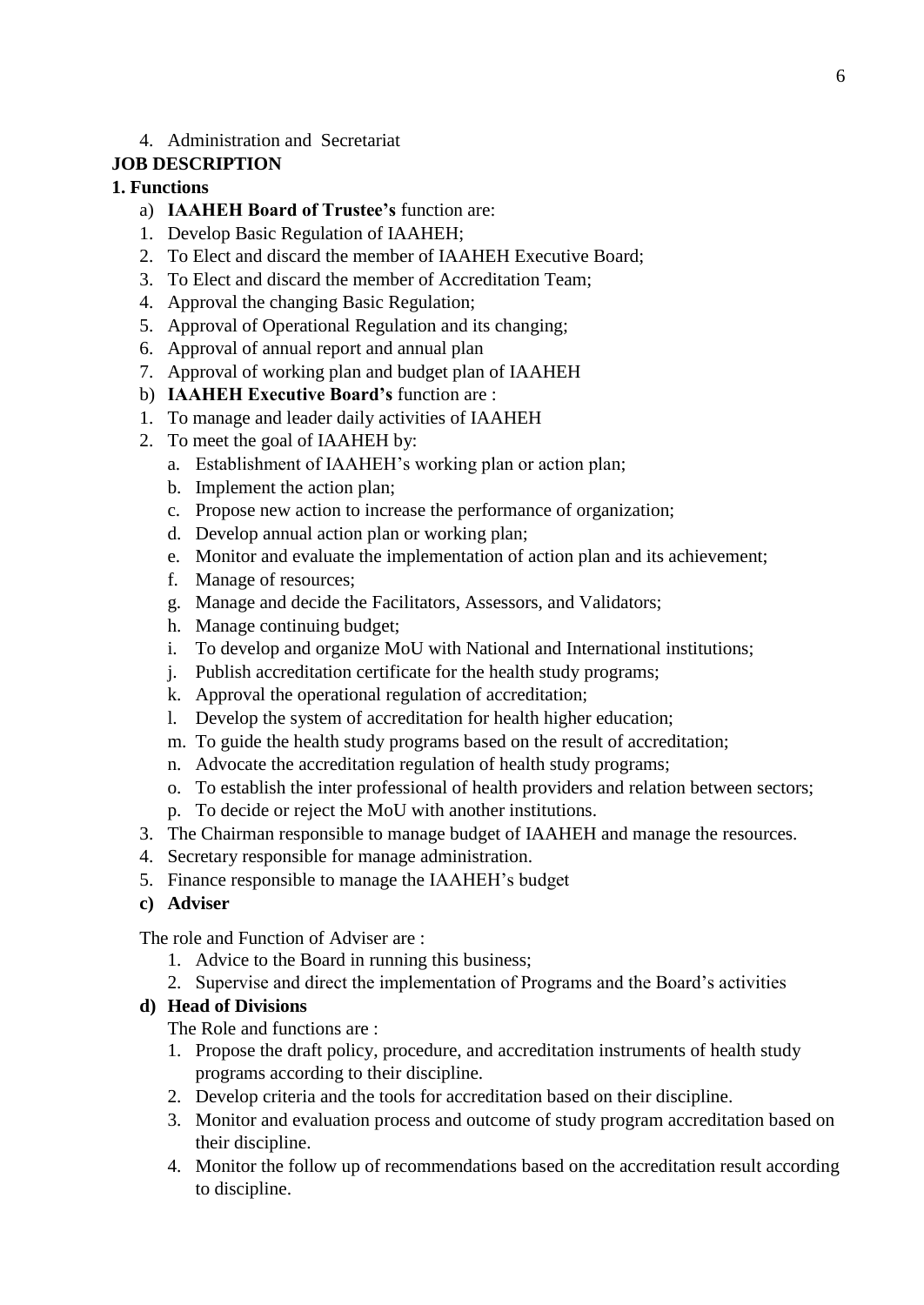### 4. Administration and Secretariat

### **JOB DESCRIPTION**

### **1. Functions**

- a) **IAAHEH Board of Trustee's** function are:
- 1. Develop Basic Regulation of IAAHEH;
- 2. To Elect and discard the member of IAAHEH Executive Board;
- 3. To Elect and discard the member of Accreditation Team;
- 4. Approval the changing Basic Regulation;
- 5. Approval of Operational Regulation and its changing;
- 6. Approval of annual report and annual plan
- 7. Approval of working plan and budget plan of IAAHEH
- b) **IAAHEH Executive Board's** function are :
- 1. To manage and leader daily activities of IAAHEH
- 2. To meet the goal of IAAHEH by:
	- a. Establishment of IAAHEH's working plan or action plan;
	- b. Implement the action plan;
	- c. Propose new action to increase the performance of organization;
	- d. Develop annual action plan or working plan;
	- e. Monitor and evaluate the implementation of action plan and its achievement;
	- f. Manage of resources;
	- g. Manage and decide the Facilitators, Assessors, and Validators;
	- h. Manage continuing budget;
	- i. To develop and organize MoU with National and International institutions;
	- j. Publish accreditation certificate for the health study programs;
	- k. Approval the operational regulation of accreditation;
	- l. Develop the system of accreditation for health higher education;
	- m. To guide the health study programs based on the result of accreditation;
	- n. Advocate the accreditation regulation of health study programs;
	- o. To establish the inter professional of health providers and relation between sectors;
	- p. To decide or reject the MoU with another institutions.
- 3. The Chairman responsible to manage budget of IAAHEH and manage the resources.
- 4. Secretary responsible for manage administration.
- 5. Finance responsible to manage the IAAHEH's budget
- **c) Adviser**

The role and Function of Adviser are :

- 1. Advice to the Board in running this business;
- 2. Supervise and direct the implementation of Programs and the Board's activities

### **d) Head of Divisions**

The Role and functions are :

- 1. Propose the draft policy, procedure, and accreditation instruments of health study programs according to their discipline.
- 2. Develop criteria and the tools for accreditation based on their discipline.
- 3. Monitor and evaluation process and outcome of study program accreditation based on their discipline.
- 4. Monitor the follow up of recommendations based on the accreditation result according to discipline.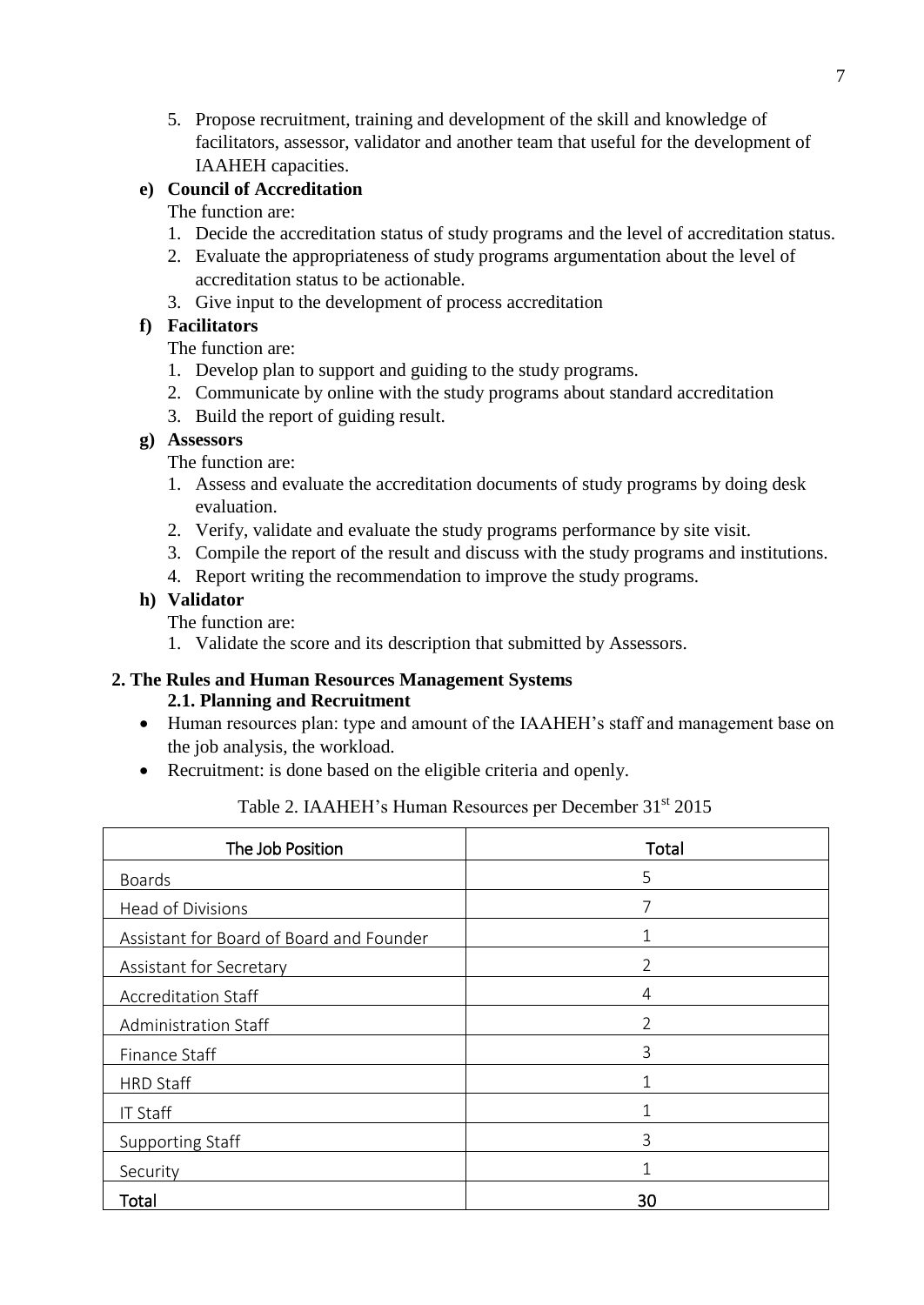5. Propose recruitment, training and development of the skill and knowledge of facilitators, assessor, validator and another team that useful for the development of IAAHEH capacities.

# **e) Council of Accreditation**

# The function are:

- 1. Decide the accreditation status of study programs and the level of accreditation status.
- 2. Evaluate the appropriateness of study programs argumentation about the level of accreditation status to be actionable.
- 3. Give input to the development of process accreditation

# **f) Facilitators**

The function are:

- 1. Develop plan to support and guiding to the study programs.
- 2. Communicate by online with the study programs about standard accreditation
- 3. Build the report of guiding result.

# **g) Assessors**

The function are:

- 1. Assess and evaluate the accreditation documents of study programs by doing desk evaluation.
- 2. Verify, validate and evaluate the study programs performance by site visit.
- 3. Compile the report of the result and discuss with the study programs and institutions.
- 4. Report writing the recommendation to improve the study programs.

# **h) Validator**

The function are:

1. Validate the score and its description that submitted by Assessors.

### **2. The Rules and Human Resources Management Systems 2.1. Planning and Recruitment**

- Human resources plan: type and amount of the IAAHEH's staff and management base on the job analysis, the workload.
- Recruitment: is done based on the eligible criteria and openly.

| Table 2. IAAHEH's Human Resources per December 31 <sup>st</sup> 2015 |  |
|----------------------------------------------------------------------|--|
|----------------------------------------------------------------------|--|

| The Job Position                         | Total          |
|------------------------------------------|----------------|
| <b>Boards</b>                            | 5              |
| Head of Divisions                        |                |
| Assistant for Board of Board and Founder |                |
| Assistant for Secretary                  | $\mathfrak{D}$ |
| <b>Accreditation Staff</b>               | 4              |
| Administration Staff                     | $\overline{2}$ |
| Finance Staff                            | 3              |
| <b>HRD Staff</b>                         |                |
| <b>IT Staff</b>                          |                |
| <b>Supporting Staff</b>                  | 3              |
| Security                                 |                |
| Total                                    | 30             |